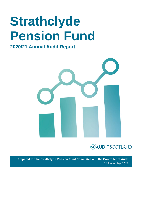# **Strathclyde Pension Fund**

### **2020/21 Annual Audit Report**





**Prepared for the Strathclyde Pension Fund Committee and the Controller of Audit** 24 November 2021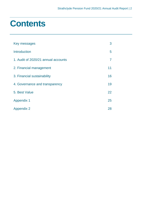### **Contents**

| Key messages                        | 3  |
|-------------------------------------|----|
| <b>Introduction</b>                 | 5  |
| 1. Audit of 2020/21 annual accounts | 7  |
| 2. Financial management             | 11 |
| 3. Financial sustainability         | 16 |
| 4. Governance and transparency      | 19 |
| 5. Best Value                       | 22 |
| <b>Appendix 1</b>                   | 25 |
| <b>Appendix 2</b>                   | 28 |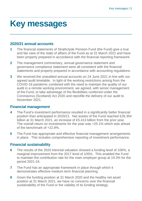### <span id="page-2-0"></span>**Key messages**

### **2020/21 annual accounts**

- **1** The financial statements of Strathclyde Pension Fund (the Fund) give a true and fair view of the state of affairs of the Fund as at 31 March 2021 and have been properly prepared in accordance with the financial reporting framework.
- **2** The management commentary, annual governance statement and governance compliance statement were all consistent with the financial statements and properly prepared in accordance with accounting regulations.
- **3** We received the unaudited annual accounts on 24 June 2021 in line with our agreed audit timetable. In light of the working restrictions arising from the COVID-19 pandemic combined with the need to maintain the quality of our audit in a remote working environment, we agreed, with senior management of the Fund, to take advantage of the flexibilities conferred under the Coronavirus (Scotland) Act 2020 and reprofile the delivery of our audit to November 2021.

### **Financial management**

- **4** The Fund's investment performance resulted in a significantly better financial position than anticipated in 2020/21. Net assets of the Fund reached £26.354 billion at 31 March 2021, an increase of £5.413 billion from the prior year. The overall return on investments for the year was +25.1% which was ahead of the benchmark of +22.8%.
- **5** The Fund has appropriate and effective financial management arrangements in place. This includes comprehensive reporting of investment performance.

### **Financial sustainability**

- **6** The results of the 2020 triennial valuation showed a funding level of 106%, a marginal improvement from the 2017 level of 105%. This enabled the Fund to maintain the contribution rate for the main employer group at 19.3% for the period 2021-24.
- **7** The Fund has an appropriate framework in place through which it demonstrates effective medium term financial planning.
- **8** Given the funding position at 31 March 2020 and the healthy net asset position at 31 March 2021, we have no concerns over the financial sustainability of the Fund or the viability of its funding strategy.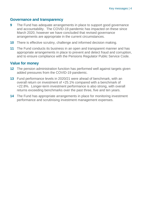### **Governance and transparency**

- **9** The Fund has adequate arrangements in place to support good governance and accountability. The COVID-19 pandemic has impacted on these since March 2020, however we have concluded that revised governance arrangements are appropriate in the current circumstances.
- **10** There is effective scrutiny, challenge and informed decision making.
- **11** The Fund conducts its business in an open and transparent manner and has appropriate arrangements in place to prevent and detect fraud and corruption, and to ensure compliance with the Pensions Regulator Public Service Code.

### **Value for money**

- **12** The pension administration function has performed well against targets given added pressures from the COVID-19 pandemic.
- **13** Fund performance levels in 2020/21 were ahead of benchmark, with an overall return on investment of +25.1% compared with a benchmark of +22.8%. Longer-term investment performance is also strong, with overall returns exceeding benchmarks over the past three, five and ten years.
- **14** The Fund has appropriate arrangements in place for monitoring investment performance and scrutinising investment management expenses.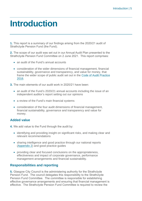### <span id="page-4-0"></span>**Introduction**

**1.** This report is a summary of our findings arising from the 2020/21 audit of Strathclyde Pension Fund (the Fund).

**2.** The scope of our audit was set out in our Annual Audit Plan presented to the Strathclyde Pension Fund Committee on 2 June 2021. This report comprises:

- an audit of the Fund's annual accounts
- consideration of the wider dimensions of financial management, financial sustainability, governance and transparency, and value for money, that frame the wider scope of public audit set out in the [Code of Audit Practice](http://www.audit-scotland.gov.uk/report/code-of-audit-practice-2016)  [2016.](http://www.audit-scotland.gov.uk/report/code-of-audit-practice-2016)
- **3.** The main elements of our audit work in 2020/21 have been:
	- an audit of the Fund's 2020/21 annual accounts including the issue of an independent auditor's report setting out our opinions
	- a review of the Fund's main financial systems
	- consideration of the four audit dimensions of financial management, financial sustainability, governance and transparency and value for money.

### **Added value**

**4.** We add value to the Fund through the audit by:

- identifying and providing insight on significant risks, and making clear and relevant recommendations
- sharing intelligence and good practice through our national reports [\(Appendix 2\)](#page-27-0) and good practice guides
- providing clear and focused conclusions on the appropriateness, effectiveness and impact of corporate governance, performance management arrangements and financial sustainability.

### **Responsibilities and reporting**

**5.** Glasgow City Council is the administering authority for the Strathclyde Pension Fund. The council delegates this responsibility to the Strathclyde Pension Fund Committee. The committee is responsible for establishing effective governance arrangements and ensuring that financial management is effective. The Strathclyde Pension Fund Committee is required to review the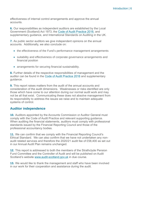effectiveness of internal control arrangements and approve the annual accounts.

**6.** Our responsibilities as independent auditors are established by the Local Government (Scotland) Act 1973, the [Code of Audit Practice 2016,](http://www.audit-scotland.gov.uk/uploads/docs/report/2016/code_audit_practice_16.pdf) and supplementary guidance, and International Standards on Auditing in the UK.

**7.** As public sector auditors we give independent opinions on the annual accounts. Additionally, we also conclude on:

- the effectiveness of the Fund's performance management arrangements
- suitability and effectiveness of corporate governance arrangements and financial position
- arrangements for securing financial sustainability.

**8.** Further details of the respective responsibilities of management and the auditor can be found in the [Code of Audit Practice 2016](http://www.audit-scotland.gov.uk/uploads/docs/report/2016/code_audit_practice_16.pdf) and supplementary guidance.

**9.** This report raises matters from the audit of the annual accounts and consideration of the audit dimensions. Weaknesses or risks identified are only those which have come to our attention during our normal audit work and may not be all that exist. Communicating these does not absolve management from its responsibility to address the issues we raise and to maintain adequate systems of control.

### **Auditor independence**

**10.** Auditors appointed by the Accounts Commission or Auditor General must comply with the Code of Audit Practice and relevant supporting guidance. When auditing the financial statements, auditors must comply with professional standards issued by the Financial Reporting Council and those of the professional accountancy bodies.

**11.** We can confirm that we comply with the Financial Reporting Council's Ethical Standard. We can also confirm that we have not undertaken any nonaudit related services and therefore the 2020/21 audit fee of £58,400 as set out in our Annual Audit Plan remains unchanged.

**12.** This report is addressed to both the members of the Strathclyde Pension Fund Committee and the Controller of Audit and will be published on Audit Scotland's website [www.audit-scotland.gov.uk](http://www.audit-scotland.gov.uk/) in due course.

**13.** We would like to thank the management and staff who have been involved in our work for their cooperation and assistance during the audit.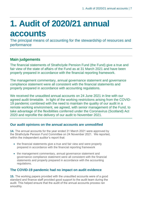## <span id="page-6-0"></span>**1. Audit of 2020/21 annual accounts**

The principal means of accounting for the stewardship of resources and performance

### **Main judgements**

The financial statements of Strathclyde Pension Fund (the Fund) give a true and fair view of the state of affairs of the Fund as at 31 March 2021 and have been properly prepared in accordance with the financial reporting framework.

The management commentary, annual governance statement and governance compliance statement were all consistent with the financial statements and properly prepared in accordance with accounting regulations.

We received the unaudited annual accounts on 24 June 2021 in line with our agreed audit timetable. In light of the working restrictions arising from the COVID-19 pandemic combined with the need to maintain the quality of our audit in a remote working environment, we agreed, with senior management of the Fund, to take advantage of the flexibilities conferred under the Coronavirus (Scotland) Act 2020 and reprofile the delivery of our audit to November 2021.

### **Our audit opinions on the annual accounts are unmodified**

**14.** The annual accounts for the year ended 31 March 2021 were approved by the Strathclyde Pension Fund Committee on 24 November 2021. We reported, within the independent auditor's report that:

- the financial statements give a true and fair view and were properly prepared in accordance with the financial reporting framework
- the management commentary, annual governance statement and governance compliance statement were all consistent with the financial statements and properly prepared in accordance with the accounting regulations.

### **The COVID-19 pandemic had no impact on audit evidence**

**15.** The working papers provided with the unaudited accounts were of a good standard and finance staff provided good support to the audit team during the audit. This helped ensure that the audit of the annual accounts process ran smoothly.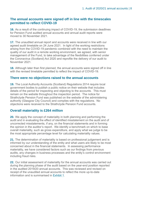### **The annual accounts were signed off in line with the timescales permitted to reflect COVID-19**

**16.** As a result of the continuing impact of COVID-19, the submission deadlines for Pension Fund audited annual accounts and annual audit reports were moved to 30 November 2021.

**17.** The unaudited annual report and accounts were received in line with our agreed audit timetable on 24 June 2021. In light of the working restrictions arising from the COVID-19 pandemic combined with the need to maintain the quality of our audit in a remote working environment, we agreed, with senior management of the Fund, to take advantage of the flexibilities conferred under the Coronavirus (Scotland) Act 2020 and reprofile the delivery of our audit to November 2021.

**18.** Although later than first planned, the annual accounts were signed off in line with the revised timetable permitted to reflect the impact of COVID-19.

### **There were no objections raised to the annual accounts**

**19.** The Local Authority Accounts (Scotland) Regulations 2014 require local government bodies to publish a public notice on their website that includes details of the period for inspecting and objecting to the accounts. This must remain on the website throughout the inspection period. The notice for Strathclyde Pension Fund was published on the website of the administering authority (Glasgow City Council) and complies with the regulations. No objections were received to the Strathclyde Pension Fund accounts.

### **Overall materiality is £264 million**

**20.** We apply the concept of materiality in both planning and performing the audit and in evaluating the effect of identified misstatement on the audit and of uncorrected misstatements, if any, on the financial statements and in forming the opinion in the auditor's report. We identify a benchmark on which to base overall materiality, such as gross expenditure, and apply what we judge to be the most appropriate percentage level for calculating materiality values.

**21.** The determination of materiality is based on professional judgement and is informed by our understanding of the entity and what users are likely to be most concerned about in the financial statements. In assessing performance materiality, we have considered factors such as our findings from previous audits, any changes in business processes and the entity's control environment including fraud risks.

**22.** Our initial assessment of materiality for the annual accounts was carried out during the planning phase of the audit based on the year-end position reported in the audited 2019/20 annual accounts. This was reviewed and revised on receipt of the unaudited annual accounts to reflect the more up-to-date information and is summarised in [Exhibit 1.](#page-8-0)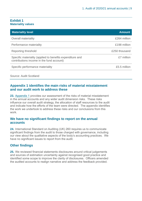#### <span id="page-8-0"></span>**Exhibit 1 Materiality values**

| <b>Materiality level</b>                                                                               | <b>Amount</b> |
|--------------------------------------------------------------------------------------------------------|---------------|
| <b>Overall materiality</b>                                                                             | £264 million  |
| Performance materiality                                                                                | £198 million  |
| Reporting threshold                                                                                    | £250 thousand |
| Specific materiality (applied to benefits expenditure and<br>contributions income in the fund account) | £7 million    |
| Specific performance materiality                                                                       | £5.5 million  |
|                                                                                                        |               |

#### Source: Audit Scotland

### **Appendix 1 identifies the main risks of material misstatement and our audit work to address these**

**23.** [Appendix 1](#page-24-0) provides our assessment of the risks of material misstatement in the annual accounts and any wider audit dimension risks. These risks influence our overall audit strategy, the allocation of staff resources to the audit and indicate how the efforts of the team were directed. The appendix identifies the work we undertook to address these risks and our conclusions from this work.

### **We have no significant findings to report on the annual accounts**

**24.** International Standard on Auditing (UK) 260 requires us to communicate significant findings from the audit to those charged with governance, including our view about the qualitative aspects of the body's accounting practices. We have no significant issues to report from the audit.

### **Other findings**

**25.** We reviewed financial statements disclosures around critical judgements and sources of estimation uncertainty against recognised good practice and identified some scope to improve the clarity of disclosures. Officers amended the audited accounts to realign narrative and address the feedback provided.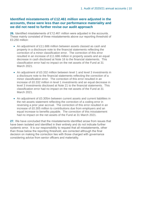### **Identified misstatements of £12.461 million were adjusted in the accounts, these were less than our performance materiality and we did not need to further revise our audit approach**

**26.** Identified misstatements of £12.461 million were adjusted in the accounts. These mainly consisted of three misstatements above our reporting threshold of £0.250 million:

- An adjustment of £11,686 million between assets classed as cash and property in a disclosure note to the financial statements reflecting the correction of a minor classification error. The correction of this error resulted in an increase of £11.686 million in property assets and an equal decrease in cash disclosed at Note 16 to the financial statements. This classification error had no impact on the net assets of the Fund at 31 March 2021.
- An adjustment of £0.332 million between level 1 and level 3 investments in a disclosure note to the financial statements reflecting the correction of a minor classification error. The correction of this error resulted in an increase of £0.332 million in level 1 investments and an equal decrease in level 3 investments disclosed at Note 21 to the financial statements. This classification error had no impact on the net assets of the Fund at 31 March 2021.
- An adjustment of £0.305m between current assets and current liabilities in the net assets statement reflecting the correction of a coding error in reversing a prior year accrual. The correction of this error resulted in an increase of £0.305 million to contributions due from employers and an equal increase to benefits payable. The correction of this misstatement had no impact on the net assets of the Fund at 31 March 2021.

**27.** We have concluded that the misstatements identified arose from issues that have been isolated and identified in their entirety and do not indicate further systemic error. It is our responsibility to request that all misstatements, other than those below the reporting threshold, are corrected although the final decision on making the correction lies with those charged with governance considering advice from senior officers and materiality.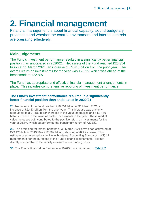## <span id="page-10-0"></span>**2. Financial management**

Financial management is about financial capacity, sound budgetary processes and whether the control environment and internal controls are operating effectively.

### **Main judgements**

The Fund's investment performance resulted in a significantly better financial position than anticipated in 2020/21. Net assets of the Fund reached £26.354 billion at 31 March 2021, an increase of £5.413 billion from the prior year. The overall return on investments for the year was +25.1% which was ahead of the benchmark of +22.8%.

The Fund has appropriate and effective financial management arrangements in place. This includes comprehensive reporting of investment performance.

### **The Fund's investment performance resulted in a significantly better financial position than anticipated in 2020/21**

**28.** Net assets of the Fund reached £26.354 billion at 31 March 2021, an increase of £5.413 billion from the prior year. This increase was primarily attributable to a £1.183 billion increase in the value of equities and a £3.476 billion increase in the value of pooled investments in the year. These market value increases both contributed to the positive return on investments for the year of 25.1%, which outperformed the benchmark return of +22.8%.

**29.** The promised retirement benefits at 31 March 2021 have been estimated at £29.425 billion (2019/20 – £22.982 billion), showing a 28% increase. This estimate uses assumptions in line with Internal Accounting Standards (IAS) 19 requirements, for the purposes of the Fund's financial statements. It is not directly comparable to the liability measures on a funding basis.

**30.** The Fund's financial performance in 2020/21 is summarised in [Exhibit 2.](#page-11-0)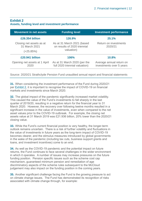### <span id="page-11-0"></span>**Exhibit 2 Assets, funding level and investment performance**

| <b>Movement in net assets</b>             | <b>Funding level</b>                                           | <b>Investment performance</b>                        |
|-------------------------------------------|----------------------------------------------------------------|------------------------------------------------------|
| £26.354 billion                           | 126.9%                                                         | 25.1%                                                |
| Closing net assets as at<br>31 March 2021 | As at 31 March 2021 (based<br>on results of 2020 triennial     | Return on investments<br>2020/21                     |
| $(+25.85%)$                               | valuation)                                                     |                                                      |
| £20.941 billion                           | 106%                                                           | 10.8%                                                |
| Opening net assets at 1 April<br>2020     | As at 31 March 2020 (per the<br>full 2020 triennial valuation) | Average annual return on<br>investments over 5 years |

Source: 2020/21 Strathclyde Pension Fund unaudited annual report and financial statements

**31.** When considering the investment performance of the Fund during 2020/21 per [Exhibit 2,](#page-11-0) it is important to recognise the impact of COVID-19 on financial markets and investments since March 2020.

**32.** The global impact of the pandemic significantly increased market volatility. This caused the value of the Fund's investments to fall sharply in the last quarter of 2019/20, resulting in a negative return for the financial year to 31 March 2020. However, the recovery over following twelve months resulted in a significant increase in the value of investments, even when compared to the net asset values prior to the COVID-19 outbreak. For example, the closing net assets value at 31 March 2019 was £21.936 billion, 20% lower than the 2020/21 closing value.

**33.** While the Fund's current financial position is very healthy, the longer-term outlook remains uncertain. There is a risk of further volatility and fluctuations in the value of investments in future years as the long-term impact of COVID-19 becomes clearer, and the stimulus measures introduced by global governments in the wake of the pandemic (including tax cuts, business support grants and loans, and investment incentives) come to an end.

**34.** As well as the COVID-19 pandemic and the potential impact on future returns, the Fund continues to face several challenges in the wider environment in which it operates. A number of issues may increase pressures on the future funding position. Pension specific issues such as the scheme cost cap mechanism, guaranteed minimum pension and remediation of age discriminatory aspects of the scheme rules subsequent to the McCloud judgement may also impact on the funding position in the coming years.

**35.** Another significant challenge facing the Fund is the growing pressure to act on climate change issues. The Fund has demonstrated its recognition of risks associated with climate change through, for example: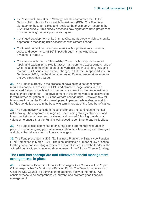- Its Responsible Investment Strategy, which incorporates the United Nations Principles for Responsible Investment (PRI). The Fund is a signatory to these principles and received the maximum A+ score in the 2020 PRI survey. This survey assesses how signatories have progressed in implementing the principles year-on-year.
- Continued development of its Climate Change Strategy, which sets out its approach to managing risks associated with climate change.
- Continued commitments to investments with a positive environmental, social and governance (ESG) impact through its growing Direct Investment Portfolio.
- Compliance with the UK Stewardship Code which comprises a set of 'apply and explain' principles for asset managers and asset owners, one of which relates to the integration of stewardship and investment, including material ESG issues, and climate change, to fulfil their responsibilities. In September 2021, the Fund became one of 23 asset owner signatories to the UK Stewardship Code.

**36.** The Fund is currently in the process of developing a set of minimum required standards in respect of ESG and climate change issues, and an associated framework with which it can assess current and future investments against these standards. The development of this framework is a positive step toward further mitigation of ESG and climate change risks. However, this will take some time for the Fund to develop and implement while also maintaining its fiduciary duties to act in the best long-term interests of the fund beneficiaries.

**37.** The Fund actively considers these challenges and continues to monitor risks through the corporate risk register. The funding strategy statement and investment strategy have been reviewed and revised following the triennial valuation to ensure that the Fund is well placed to continue to pay its liabilities.

**38.** The Fund is also committed to ensuring it has appropriate resources in place to support ongoing pension administration activities, along with strategies and plans that take account of future challenges.

**39.** The Fund presented its 2021/22 Business Plan to the Strathclyde Pension Fund Committee in March 2021. The plan identifies a number of key priorities for the year ahead including a review of actuarial services and the tender of the actuarial contract, and continued development of the Climate Change Strategy.

### **The Fund has appropriate and effective financial management arrangements in place**

**40.** The Executive Director of Finance for Glasgow City Council is the Proper Officer responsible for Strathclyde Pension Fund. The financial regulations of Glasgow City Council, as administering authority, apply to the Fund. We consider these to be comprehensive, current, and promote good financial management.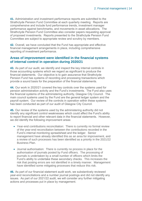**41.** Administration and investment performance reports are submitted to the Strathclyde Pension Fund Committee at each quarterly meeting. Reports are comprehensive and include fund performance trends, investment manager performance against benchmarks, and movements in asset allocations. The Strathclyde Pension Fund Committee also consider papers requesting approval of proposed investments. Reports presented to the Strathclyde Pension Fund Committee are subject to appropriate review and scrutiny by members.

**42.** Overall, we have concluded that the Fund has appropriate and effective financial management arrangements in place, including comprehensive reporting of investment performance.

### **Areas of improvement were identified in the financial systems of internal control in operation during 2020/21**

**43.** As part of our audit, we identify and inspect the key internal controls in those accounting systems which we regard as significant to produce the financial statements. Our objective is to gain assurance that Strathclyde Pension Fund has systems of recording and processing transactions which provide a sound basis for the preparation of the financial statements.

**44.** Our work in 2020/21 covered the key controls over the systems used for pension administration activity and the Fund's investments. The Fund also uses the financial systems of the administering authority, Glasgow City Council. The main council systems used by the Fund are the general ledger system and the payroll system. Our review of the controls in operation within these systems has been conducted as part of our audit of Glasgow City Council.

**45.** Our review of the systems used by the administering authority did not identify any significant control weaknesses which could affect the Fund's ability to report financial and other relevant data in the financial statements. However, we did identify the following improvement areas:

- Year-end contributions reconciliation: There is currently no formal review of the year-end reconciliation between the contributions recorded in the Fund's internal monitoring spreadsheet and the ledger. Senior management have already identified this as an area for improvement, and a review of such processes has been identified as a priority in the 2021/22 Business Plan.
- Journal authorisation: There is currently no process in place for the authorisation of journals posted by Fund officers. The processing of journals is undertaken by a small number of officers which limits the Fund's ability to undertake these secondary checks. This increases the risk that posting errors are not identified in a timely manner. Management have identified some mitigating processes that reduce this risk.

**46.** As part of our financial statement audit work, we substantively reviewed year-end reconciliations and a number journal postings and did not identify any issues. As part of our 2021/22 audit, we will consider any further mitigating actions and processes put in place by management.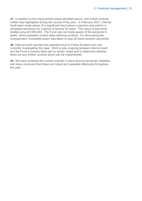<span id="page-14-0"></span>**47.** In addition to the improvement areas identified above, one further controls matter was highlighted during the course of the year. In February 2021, Internal Audit were made aware of a significant fraud where a pension was paid to a deceased pensioner for a period of around 30 years. The value of payments totalled around £300,000. The Fund was not made aware of the pensioner's death, which predated current data-matching controls. On discovering the overpayment, immediate action was taken to stop all future pension payments.

**48.** Internal Audit reported the potential fraud to Police Scotland who are currently investigating the case. Work is also ongoing between Internal Audit and the Fund to ensure there are no similar cases and to determine whether there are any further controls which can be implemented.

**49.** We have reviewed the current controls in place around pensioner validation and have concluded that these are robust and operated effectively throughout the year.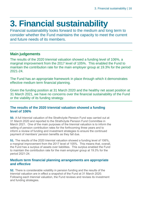## <span id="page-15-0"></span>**3. Financial sustainability**

Financial sustainability looks forward to the medium and long term to consider whether the Fund maintains the capacity to meet the current and future needs of its members.

### **Main judgements**

The results of the 2020 triennial valuation showed a funding level of 106%, a marginal improvement from the 2017 level of 105%. This enabled the Fund to maintain the contribution rate for the main employer group at 19.3% for the period 2021-24.

The Fund has an appropriate framework in place through which it demonstrates effective medium term financial planning.

Given the funding position at 31 March 2020 and the healthy net asset position at 31 March 2021, we have no concerns over the financial sustainability of the Fund or the viability of its funding strategy.

### **The results of the 2020 triennial valuation showed a funding level of 106%**

**50.** A full triennial valuation of the Strathclyde Pension Fund was carried out at 31 March 2020 and reported to the Strathclyde Pension Fund Committee in March 2021. One of the main purposes of the triennial valuation is to inform the setting of pension contribution rates for the forthcoming three years and to inform a review of funding and investment strategies to ensure the continued payment of members' pension benefits as they fall due.

**51.** The results of the 2020 triennial valuation showed a funding level of 106%, a marginal improvement from the 2017 level of 105%. This means that, overall, the Fund has a surplus of assets over liabilities. This surplus enabled the Fund to maintain the contribution rate for the main employer group at 19.3% for the period 2021-24.

### **Medium term financial planning arrangements are appropriate and effective**

**52.** There is considerable volatility in pension funding and the results of the triennial valuation are in effect a snapshot of the Fund at 31 March 2020. Following each triennial valuation, the Fund reviews and revises its investment and funding strategies.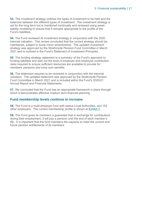**53.** The investment strategy outlines the types of investment to be held and the balances between the different types of investment. The investment strategy is set for the long-term but is monitored continually and reviewed using assetliability modelling to ensure that it remains appropriate to the profile of the Fund's liabilities.

**54.** The Fund reviewed its investment strategy in conjunction with the 2020 triennial valuation. This review concluded that the current strategy should be maintained, subject to some minor amendments. The updated investment strategy was approved by the Strathclyde Pension Fund Committee in March 2021 and is outlined in the Fund's Statement of Investment Principles.

**55.** The funding strategy statement is a summary of the Fund's approach to funding liabilities and sets out the level of employer and employee contribution rates required to ensure sufficient resources are available to provide for members' pensions and lump sum benefits.

**56.** The statement requires to be reviewed in conjunction with the triennial valuation. The updated statement was approved by the Strathclyde Pension Fund Committee in March 2021 and is included within the Fund's 2020/21 Annual Report and Financial Statements.

**57.** We concluded that the Fund has an appropriate framework in place through which it demonstrates effective medium term financial planning.

### **Fund membership levels continue to increase**

**58.** The Fund is a multi-employer fund with twelve Local Authorities, and 152 other employers. The current membership profile is shown at [Exhibit 3.](#page-17-0)

**59.** The Fund gives its members a guarantee that in exchange for contributions during their employment, it will pay a pension until the end of each member's life. It is important that the fund maintains the capacity to meet the current and future pension entitlements of its members.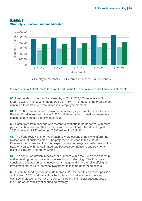

### <span id="page-17-0"></span>**Exhibit 3 Strathclyde Pension Fund membership**

Source: 2020/21 Strathclyde Pension Fund unaudited annual report and financial statements

**60.** Membership of the fund increased by 4,620 to 258,378 members at 31 March 2021; an increase in membership of 1.8%. The impact of auto-enrolment continues to contribute to the increase in employee members.

**61.** In 2020/21 the number of pensioners receiving a pension from Strathclyde Pension Fund increased by over 2,200 and the number of pensioner members continues to increase steadily each year.

**62.** Cash flows from dealings with members continue to be negative, with more paid out in benefits than that received from contributions. The deficit reported in 2020/21 was £18.752 million (£17.992 million in 2019/20).

**63.** The Fund reviews its ten-year cash flow projections annually to inform the revised annual business plan. The projections included in the 2021/22 Business Plan show that the Fund expect increasing negative cash flows for the next ten years, with the estimated gap between contributions and payments rising to £157.071 million by 2030/31.

**64.** The continued growth in pensioner numbers within the Fund's membership makes funding pension payments increasingly challenging. The Fund has considered this as part of its investment strategy and is further diversifying its investment structure to increase investment in income generating assets.

**65.** Given the funding position at 31 March 2020, the healthy net asset position at 31 March 2021, and the actions being taken to address the longer-term cashflow projections, we have no concerns over the financial sustainability of the Fund or the viability of its funding strategy.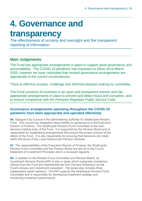### <span id="page-18-0"></span>**4. Governance and**

### **transparency**

The effectiveness of scrutiny and oversight and the transparent reporting of information

### **Main Judgements**

The Fund has appropriate arrangements in place to support good governance and accountability. The COVID-19 pandemic has impacted on these since March 2020, however we have concluded that revised governance arrangements are appropriate in the current circumstances.

There is effective scrutiny, challenge and informed decision making by committee.

The Fund conducts its business in an open and transparent manner and has appropriate arrangements in place to prevent and detect fraud and corruption, and to ensure compliance with the Pensions Regulator Public Service Code.

### **Governance arrangements operating throughout the COVID-19 pandemic have been appropriate and operated effectively**

**66.** Glasgow City Council is the administering authority for Strathclyde Pension Fund. The council has delegated responsibility for governance to the Executive Director of Finance. The Strathclyde Pension Fund Committee is the main decision-making body of the Fund. It is supported by the Pension Board and is responsible for establishing arrangements that ensure the proper conduct of the affairs of the Fund. It is also responsible for ensuring that decisions are made within the terms of the Local Government Pension Scheme.

**67.** The responsibilities of the Executive Director of Finance, the Strathclyde Pension Fund Committee and the Pension Board are set out in the Fund's Statement of Investment Principles which is reviewed regularly.

**68.** In addition to the Pension Fund Committee and Pension Board, an Investment Advisory Panel (IAP) is also in place which comprises investment officers from the Fund and representatives from Hymans Robertson as the Fund's actuary and investment consultant. The panel also includes three independent expert advisors. The IAP supports the Strathclyde Pension Fund Committee and is responsible for developing investment strategy and monitoring investment performance.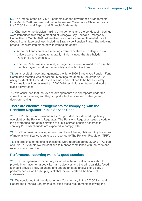**69.** The impact of the COVID-19 pandemic on the governance arrangements from March 2020 has been set out in the Annual Governance Statement within the 2020/21 Annual Report and Financial Statements.

**70.** Changes to the decision-making arrangements and the conduct of meetings were introduced following a meeting of Glasgow City Council's Emergency Committee in March 2020. Alternative procedures were implemented for all Council committee business, including Strathclyde Pension Fund. The following procedures were implemented with immediate effect:

- All council and committee meetings were cancelled and delegations to officers were increased temporarily. This included the Strathclyde Pension Fund Committee.
- The Fund's business continuity arrangements were followed to ensure the monthly payroll could be run remotely and without incident.

**71.** As a result of these arrangements, the June 2020 Strathclyde Pension Fund Committee meeting was cancelled. Meetings resumed in September 2020 using a virtual platform, Microsoft Teams, and continue to be held remotely. This situation will be reviewed as COVID-19 restrictions on travel and workplace activity ease.

**72.** We concluded that the revised arrangements are appropriate under the current circumstances, and they support effective scrutiny, challenge and decision-making.

#### **There are effective arrangements for complying with the Pensions Regulator Public Service Code**

**73.** The Public Sector Pensions Act 2013 provided for extended regulatory oversight by the Pensions Regulator. The Pensions Regulator issued a code on the governance and administration of public service pension schemes in January 2015 which funds are expected to comply with.

**74.** The Fund maintains a log of any breaches of the regulations. Any breaches of material significance require to be reported to The Pension Regulator (TPR).

**75.** No breaches of material significance were reported during 2020/21. As part of our 2021/22 audit, we will continue to monitor compliance with the code and report on any breaches.

### **Performance reporting was of a good standard**

**76.** The management commentary included in the annual accounts should provide information on a body, its main objectives and the principal risks faced. It should provide a fair, balanced and understandable analysis of a body's performance as well as helping stakeholders understand the financial statements.

**77.** We concluded that the Management Commentary in the 2020/21 Annual Report and Financial Statements satisfied these requirements following the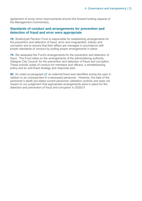agreement of some minor improvements around the forward-looking aspects of the Management Commentary.

### **Standards of conduct and arrangements for prevention and detection of fraud and error were appropriate**

**78.** Strathclyde Pension Fund is responsible for establishing arrangements for the prevention and detection of fraud, error and irregularities, bribery and corruption and to ensure that their affairs are managed in accordance with proper standards of conduct by putting proper arrangements in place.

**79.** We assessed the Fund's arrangements for the prevention and detection of fraud. The Fund relies on the arrangements of the administering authority, Glasgow City Council, for the prevention and detection of fraud and corruption. These include codes of conduct for members and officers, a whistleblowing policy and an anti-fraud strategy and response plan.

**80.** As noted at paragraph [47](#page-14-0) an external fraud was identified during the year in relation to an overpayment to a deceased pensioner. However, the date of the pensioner's death pre-dated current pensioner validation controls and does not impact on our judgement that appropriate arrangements were in place for the detection and prevention of fraud and corruption in 2020/21.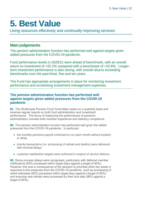### <span id="page-21-0"></span>**5. Best Value**

Using resources effectively and continually improving services

### **Main judgements**

The pension administration function has performed well against targets given added pressures from the COVID-19 pandemic.

Fund performance levels in 2020/21 were ahead of benchmark, with an overall return on investment of +25.1% compared with a benchmark of +22.8%. Longerterm investment performance is also strong, with overall returns exceeding benchmarks over the past three, five and ten years.

The Fund has appropriate arrangements in place for monitoring investment performance and scrutinising investment management expenses.

### **The pension administration function has performed well against targets given added pressures from the COVID-19 pandemic**

**81.** The Strathclyde Pension Fund Committee meets on a quarterly basis and receives regular reports on both fund administration and investment performance. The focus of measuring the performance of pensions administration includes both member experience and statutory compliance.

**82.** The pension administration function has performed well given the added pressures from the COVID-19 pandemic. In particular:

- the monthly pensions payroll continued to run each month without incident or delay
- priority transactions (i.e. processing of retirals and deaths) were delivered with minimal delays
- customer satisfaction targets were achieved in respect of service delivery.

**83.** Some process delays were recognised, particularly with deferred member notifications (63% processed within target days against a target of 90%). However, this was a consequence of the decision to prioritise other key areas in response to the pressures from the COVID-19 pandemic, such as processing of retiral estimates (92% processed within target days against a target of 80%) and ensuring new retirals were processed by their due date (96% against a target of 95%).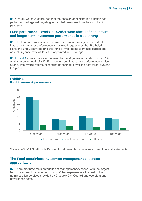**84.** Overall, we have concluded that the pension administration function has performed well against targets given added pressures from the COVID-19 pandemic.

### **Fund performance levels in 2020/21 were ahead of benchmark, and longer-term investment performance is also strong**

**85.** The Fund appoints several external investment managers. Individual investment manager performance is reviewed regularly by the Strathclyde Pension Fund Committee and the Fund's investments team also carries out annual diligence reviews for each appointed fund manager.

**86.** [Exhibit 4](#page-22-0) shows that over the year, the Fund generated a return of +25.1% against a benchmark of +22.8%. Longer-term investment performance is also strong, with overall returns exceeding benchmarks over the past three, five and ten years.



#### <span id="page-22-0"></span>**Exhibit 4 Fund investment performance**

Source: 2020/21 Strathclyde Pension Fund unaudited annual report and financial statements

### **The Fund scrutinises investment management expenses appropriately**

**87.** There are three main categories of management expense, with the largest being investment management costs. Other expenses are the cost of the administration services provided by Glasgow City Council and oversight and governance costs.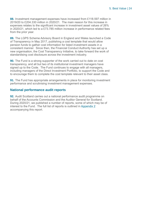**88.** Investment management expenses have increased from £118.597 million in 2019/20 to £204.330 million in 2020/21. The main reason for this increase in expenses relates to the significant increase in investment asset values of 26% in 2020/21, which led to a £73.785 million increase in performance related fees from the prior year.

**89.** The LGPS Scheme Advisory Board in England and Wales launched a Code of Transparency in May 2017, publishing a cost template that would allow pension funds to gather cost information for listed investment assets in a consistent manner. Since then, the Financial Conduct Authority has set up a new organisation, the Cost Transparency Initiative, to take forward the work of standardising cost disclosure across the investment industry.

**90.** The Fund is a strong supporter of the work carried out to date on cost transparency, and all but two of its institutional investment managers have signed up to the Code. The Fund continues to engage with all managers, including managers of the Direct Investment Portfolio, to support the Code and to encourage them to complete the cost template relevant to their asset class.

**91.** The Fund has appropriate arrangements in place for monitoring investment performance and scrutinising investment management expenses.

### **National performance audit reports**

**92.** Audit Scotland carries out a national performance audit programme on behalf of the Accounts Commission and the Auditor General for Scotland. During 2020/21, we published a number of reports, some of which may be of interest to the Fund. The full list of reports is outlined in [Appendix 2](#page-27-0) accompanying this report.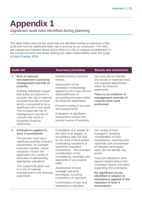<span id="page-24-0"></span>**Appendix 1** Significant audit risks identified during planning

The table below sets out the audit risks we identified during our planning of the audit and how we addressed each risk in arriving at our conclusion. The risks are categorised between those where there is a risk of material misstatement in the annual accounts and those relating our wider responsibility under the [Code](http://www.audit-scotland.gov.uk/report/code-of-audit-practice-2016)  [of Audit Practice 2016.](http://www.audit-scotland.gov.uk/report/code-of-audit-practice-2016)

#### **1 Risk of material misstatement caused by management override of controls**

Auditing Standards require that audits are planned to consider the risk of material misstatement due to fraud, which is presumed to be a significant risk in any audit. This includes the risk of management override of controls that result in fraudulent financial statements.

Detailed testing of journal entries.

Assessment of the estimation methodology applied by the Fund and the reasonableness of accounting estimates within the financial statements.

Focused testing of accruals and prepayments.

Evaluation of significant transactions outside the normal course of business.

#### **Audit risk Assurance procedure Results and conclusions**

Our work did not identify any issues or material errors that required adjustments within the financial statements.

**There is no evidence of management override of controls from work performed.**

#### **2 Estimations applied to level 3 investments**

The pension fund has a significant portfolio of level 3 investments, for example unquoted equities, where valuations involve the application of a variety of estimates in determining appropriate valuations.

This subjectivity gives rise to a risk of material misstatement in the financial statements.

Completion of a 'review of the work of an expert', in accordance with ISA 500, for the work of third parties undertaking valuations of significant unquoted investments. This included consideration of the competence, expertise and objectivity of any experts used.

Assessment of fund manager valuation techniques, including consistency of approach.

Confirmation of year-end valuations to valuation

Our review of fund managers, including consideration of their competence, expertise and objectivity and assessment of valuation techniques used, did not identify any issues.

Year-end valuations were agreed satisfactorily to the Custodian Report and other supporting documentation.

**No significant issues identified in relation to estimations applied to the valuation of level 3 investments.**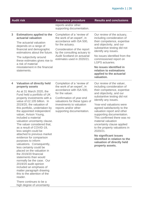|   | <b>Audit risk</b>                                                                                                                                                                                                                                                                                                                                                                                                                                                                                                                                                                                                                                                                                                                                                                                                                                       | <b>Assurance procedure</b>                                                                                                                                                                                                                  | <b>Results and conclusions</b>                                                                                                                                                                                                                      |
|---|---------------------------------------------------------------------------------------------------------------------------------------------------------------------------------------------------------------------------------------------------------------------------------------------------------------------------------------------------------------------------------------------------------------------------------------------------------------------------------------------------------------------------------------------------------------------------------------------------------------------------------------------------------------------------------------------------------------------------------------------------------------------------------------------------------------------------------------------------------|---------------------------------------------------------------------------------------------------------------------------------------------------------------------------------------------------------------------------------------------|-----------------------------------------------------------------------------------------------------------------------------------------------------------------------------------------------------------------------------------------------------|
|   |                                                                                                                                                                                                                                                                                                                                                                                                                                                                                                                                                                                                                                                                                                                                                                                                                                                         | reports and/or other<br>supporting documentation.                                                                                                                                                                                           |                                                                                                                                                                                                                                                     |
| 3 | <b>Estimations applied to the</b><br>actuarial valuation<br>The actuarial valuation<br>depends on a range of<br>financial and demographic<br>estimations about the future.                                                                                                                                                                                                                                                                                                                                                                                                                                                                                                                                                                                                                                                                              | Completion of a 'review of<br>the work of an expert', in<br>accordance with ISA 500,<br>for the actuary.<br>Consideration of the report<br>by the consulting actuary to<br><b>Audit Scotland on actuarial</b><br>estimates used in 2020/21. | Our review of the actuary,<br>including consideration of<br>their competence, expertise<br>and objectivity, and our<br>substantive testing did not<br>identify any issues.                                                                          |
|   | The subjectivity around<br>these estimates gives rise to<br>a risk of material                                                                                                                                                                                                                                                                                                                                                                                                                                                                                                                                                                                                                                                                                                                                                                          |                                                                                                                                                                                                                                             | No issues identified from the<br>commissioned report on<br><b>LGPS</b> actuaries.                                                                                                                                                                   |
|   | misstatement in the financial<br>statements.                                                                                                                                                                                                                                                                                                                                                                                                                                                                                                                                                                                                                                                                                                                                                                                                            |                                                                                                                                                                                                                                             | No issues identified in<br>relation to estimations<br>applied to the actuarial<br>valuation.                                                                                                                                                        |
| 4 | <b>Valuation of directly held</b><br>property assets                                                                                                                                                                                                                                                                                                                                                                                                                                                                                                                                                                                                                                                                                                                                                                                                    | Completion of a 'review of<br>the work of an expert', in                                                                                                                                                                                    | Our review of the valuer,<br>including consideration of                                                                                                                                                                                             |
|   | As at 31 March 2020, the<br>Fund held a portfolio of UK                                                                                                                                                                                                                                                                                                                                                                                                                                                                                                                                                                                                                                                                                                                                                                                                 | accordance with ISA 500,<br>for the valuer.                                                                                                                                                                                                 | their competence, expertise<br>and objectivity, and our                                                                                                                                                                                             |
|   | property investments with a<br>Confirmation of year-end<br>value of £2.105 billion. In<br>valuations for these types of<br>investments to valuation<br>2019/20, the valuation of<br>this portfolio, undertaken by<br>reports and/or other<br>the appointed independent<br>supporting documentation.<br>valuer, Avison Young,<br>included a material<br>valuation uncertainty clause.<br>The valuer considered that,<br>as a result of COVID-19,<br>less weight could be<br>attached to previous market<br>evidence for comparison<br>purposes to inform<br>valuations. Consequently,<br>less certainty could be<br>placed on the valuation in<br>the 2019/20 financial<br>statements than would<br>normally be the case. Our<br>2019/20 audit opinion<br>included an emphasis of<br>matter paragraph drawing<br>this to the attention of the<br>reader. | substantive testing did not<br>identify any issues.                                                                                                                                                                                         |                                                                                                                                                                                                                                                     |
|   |                                                                                                                                                                                                                                                                                                                                                                                                                                                                                                                                                                                                                                                                                                                                                                                                                                                         |                                                                                                                                                                                                                                             | Year-end valuations were<br>agreed satisfactorily to the<br>valuation report and other<br>supporting documentation.<br>This confirmed there was no<br>material valuation<br>uncertainty clause applied<br>to the property valuations in<br>2020/21. |
|   |                                                                                                                                                                                                                                                                                                                                                                                                                                                                                                                                                                                                                                                                                                                                                                                                                                                         |                                                                                                                                                                                                                                             | <b>No significant issues</b><br>identified in relation to the<br>valuation of directly held<br>property assets.                                                                                                                                     |
|   | There continues to be a<br>high degree of uncertainty                                                                                                                                                                                                                                                                                                                                                                                                                                                                                                                                                                                                                                                                                                                                                                                                   |                                                                                                                                                                                                                                             |                                                                                                                                                                                                                                                     |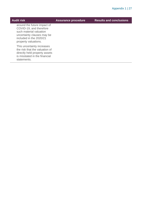| <b>Audit risk</b>                                                                                                                                                  | <b>Assurance procedure</b> | <b>Results and conclusions</b> |
|--------------------------------------------------------------------------------------------------------------------------------------------------------------------|----------------------------|--------------------------------|
| around the future impact of<br>COVID-19, and therefore<br>such material valuation<br>uncertainty clauses may be<br>included in the 2020/21<br>property valuations. |                            |                                |
| This uncertainty increases<br>the risk that the valuation of<br>directly held property assets<br>is misstated in the financial<br>statements.                      |                            |                                |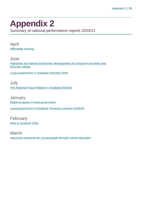### <span id="page-27-0"></span>**Appendix 2**

Summary of national performance reports 2020/21

April [Affordable housing](https://www.audit-scotland.gov.uk/report/affordable-housing)

**June** [Highlands and Islands Enterprise: Management of Cairngorm mountain and](https://www.audit-scotland.gov.uk/report/highlands-and-islands-enterprise-management-of-cairngorm-mountain-and-funicular-railway)  [funicular railway](https://www.audit-scotland.gov.uk/report/highlands-and-islands-enterprise-management-of-cairngorm-mountain-and-funicular-railway)

[Local government in Scotland Overview 2020](https://www.audit-scotland.gov.uk/report/local-government-in-scotland-overview-2020)

July [The National Fraud Initiative in Scotland 2018/19](https://www.audit-scotland.gov.uk/report/the-national-fraud-initiative-in-scotland-201819)

**January** [Digital progress in local government](https://www.audit-scotland.gov.uk/report/digital-progress-in-local-government) [Local government in Scotland: Financial overview 2019/20](https://www.audit-scotland.gov.uk/report/local-government-in-scotland-financial-overview-201920)

February [NHS in Scotland 2020](https://www.audit-scotland.gov.uk/report/nhs-in-scotland-2020)

March [Improving outcomes for young people through school education](https://www.audit-scotland.gov.uk/report/improving-outcomes-for-young-people-through-school-education)